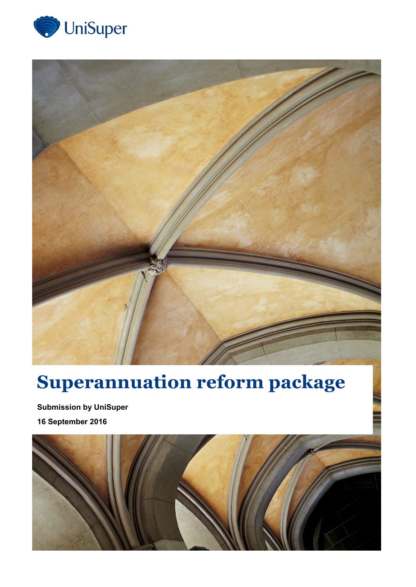



## **Superannuation reform package**

**Submission by UniSuper 16 September 2016**

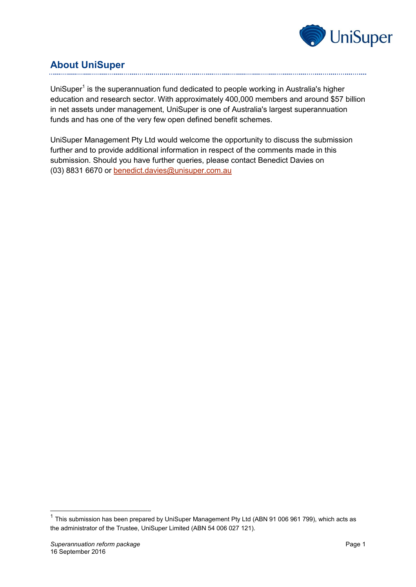

## **About UniSuper**

UniSuper<sup>1</sup> is the superannuation fund dedicated to people working in Australia's higher education and research sector. With approximately 400,000 members and around \$57 billion in net assets under management, UniSuper is one of Australia's largest superannuation funds and has one of the very few open defined benefit schemes.

UniSuper Management Pty Ltd would welcome the opportunity to discuss the submission further and to provide additional information in respect of the comments made in this submission. Should you have further queries, please contact Benedict Davies on (03) 8831 6670 or [benedict.davies@unisuper.com.au](mailto:benedict.davies@unisuper.com.au)

-

 $1$  This submission has been prepared by UniSuper Management Pty Ltd (ABN 91 006 961 799), which acts as the administrator of the Trustee, UniSuper Limited (ABN 54 006 027 121).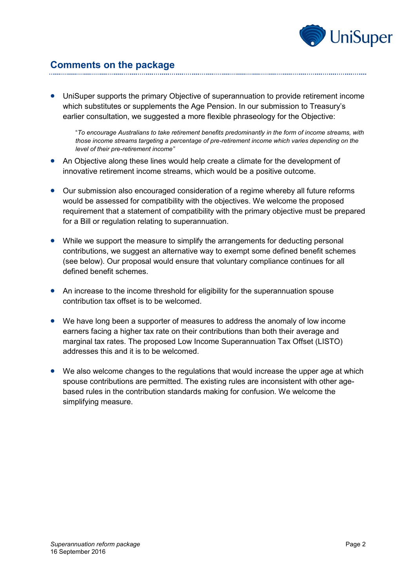

## **Comments on the package**

 UniSuper supports the primary Objective of superannuation to provide retirement income which substitutes or supplements the Age Pension. In our submission to Treasury's earlier consultation, we suggested a more flexible phraseology for the Objective:

"*To encourage Australians to take retirement benefits predominantly in the form of income streams, with those income streams targeting a percentage of pre-retirement income which varies depending on the level of their pre-retirement income"*

- An Objective along these lines would help create a climate for the development of innovative retirement income streams, which would be a positive outcome.
- Our submission also encouraged consideration of a regime whereby all future reforms would be assessed for compatibility with the objectives. We welcome the proposed requirement that a statement of compatibility with the primary objective must be prepared for a Bill or regulation relating to superannuation.
- While we support the measure to simplify the arrangements for deducting personal contributions, we suggest an alternative way to exempt some defined benefit schemes (see below). Our proposal would ensure that voluntary compliance continues for all defined benefit schemes.
- An increase to the income threshold for eligibility for the superannuation spouse contribution tax offset is to be welcomed.
- We have long been a supporter of measures to address the anomaly of low income earners facing a higher tax rate on their contributions than both their average and marginal tax rates. The proposed Low Income Superannuation Tax Offset (LISTO) addresses this and it is to be welcomed.
- We also welcome changes to the regulations that would increase the upper age at which spouse contributions are permitted. The existing rules are inconsistent with other agebased rules in the contribution standards making for confusion. We welcome the simplifying measure.